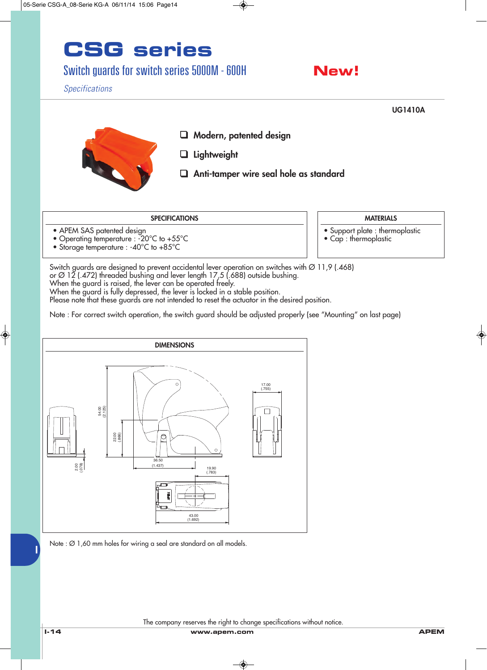# **CSG series**

#### Switch guards for switch series 5000M - 600H



*Specifications*



- 
- Operating temperature : -20°C to +55°C
- Storage temperature : -40°C to +85°C
- Support plate : thermoplastic
- Cap : thermoplastic

Switch guards are designed to prevent accidental lever operation on switches with Ø 11,9 (.468)

or Ø 12 (.472) threaded bushing and lever length 17,5 (.688) outside bushing.

When the guard is raised, the lever can be operated freely.

When the guard is fully depressed, the lever is locked in a stable position.

Please note that these guards are not intended to reset the actuator in the desired position.

Note : For correct switch operation, the switch guard should be adjusted properly (see "Mounting" on last page)



The company reserves the right to change specifications without notice.

**I**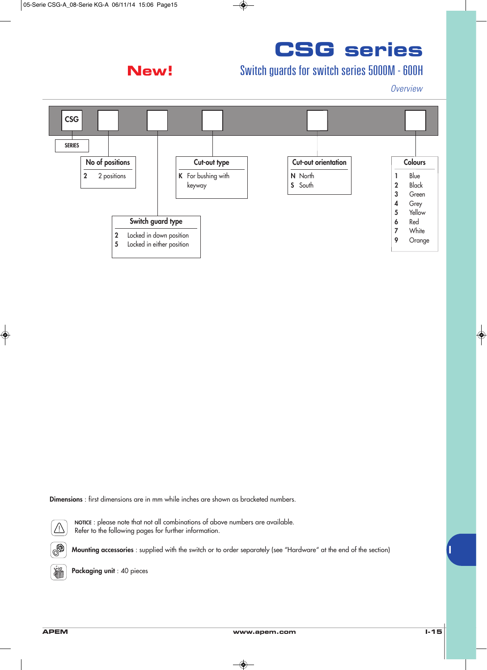#### **New!**

## **CSG series**

### Switch guards for switch series 5000M - 600H

*Overview*



**Dimensions** : first dimensions are in mm while inches are shown as bracketed numbers.



 $\circledcirc$ 

**NOTICE** : please note that not all combinations of above numbers are available. Refer to the following pages for further information.

**Mounting accessories** : supplied with the switch or to order separately (see "Hardware" at the end of the section)



**Packaging unit** : 40 pieces

**I**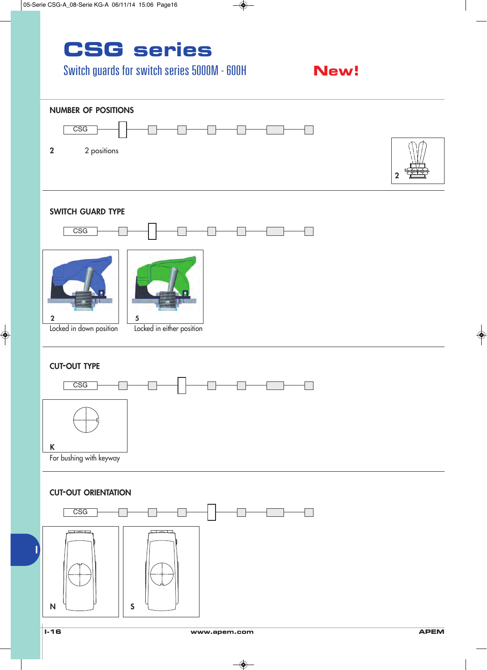### **CSG series**

### Switch guards for switch series 5000M - 600H

#### **New!**